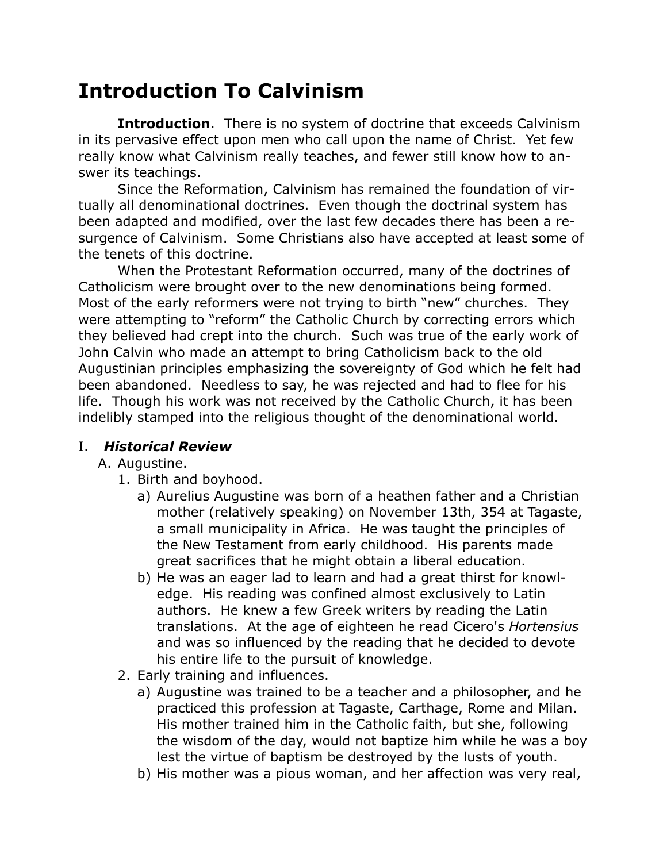# **Introduction To Calvinism**

**Introduction**. There is no system of doctrine that exceeds Calvinism in its pervasive effect upon men who call upon the name of Christ. Yet few really know what Calvinism really teaches, and fewer still know how to answer its teachings.

Since the Reformation, Calvinism has remained the foundation of virtually all denominational doctrines. Even though the doctrinal system has been adapted and modified, over the last few decades there has been a resurgence of Calvinism. Some Christians also have accepted at least some of the tenets of this doctrine.

When the Protestant Reformation occurred, many of the doctrines of Catholicism were brought over to the new denominations being formed. Most of the early reformers were not trying to birth "new" churches. They were attempting to "reform" the Catholic Church by correcting errors which they believed had crept into the church. Such was true of the early work of John Calvin who made an attempt to bring Catholicism back to the old Augustinian principles emphasizing the sovereignty of God which he felt had been abandoned. Needless to say, he was rejected and had to flee for his life. Though his work was not received by the Catholic Church, it has been indelibly stamped into the religious thought of the denominational world.

## I. *Historical Review*

#### A. Augustine.

- 1. Birth and boyhood.
	- a) Aurelius Augustine was born of a heathen father and a Christian mother (relatively speaking) on November 13th, 354 at Tagaste, a small municipality in Africa. He was taught the principles of the New Testament from early childhood. His parents made great sacrifices that he might obtain a liberal education.
	- b) He was an eager lad to learn and had a great thirst for knowledge. His reading was confined almost exclusively to Latin authors. He knew a few Greek writers by reading the Latin translations. At the age of eighteen he read Cicero's *Hortensius* and was so influenced by the reading that he decided to devote his entire life to the pursuit of knowledge.
- 2. Early training and influences.
	- a) Augustine was trained to be a teacher and a philosopher, and he practiced this profession at Tagaste, Carthage, Rome and Milan. His mother trained him in the Catholic faith, but she, following the wisdom of the day, would not baptize him while he was a boy lest the virtue of baptism be destroyed by the lusts of youth.
	- b) His mother was a pious woman, and her affection was very real,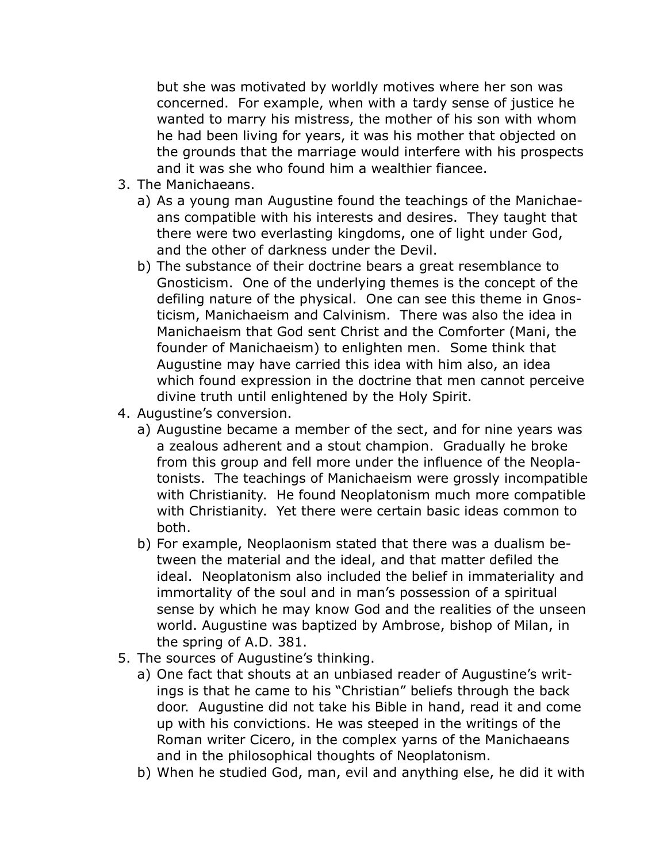but she was motivated by worldly motives where her son was concerned. For example, when with a tardy sense of justice he wanted to marry his mistress, the mother of his son with whom he had been living for years, it was his mother that objected on the grounds that the marriage would interfere with his prospects and it was she who found him a wealthier fiancee.

- 3. The Manichaeans.
	- a) As a young man Augustine found the teachings of the Manichaeans compatible with his interests and desires. They taught that there were two everlasting kingdoms, one of light under God, and the other of darkness under the Devil.
	- b) The substance of their doctrine bears a great resemblance to Gnosticism. One of the underlying themes is the concept of the defiling nature of the physical. One can see this theme in Gnosticism, Manichaeism and Calvinism. There was also the idea in Manichaeism that God sent Christ and the Comforter (Mani, the founder of Manichaeism) to enlighten men. Some think that Augustine may have carried this idea with him also, an idea which found expression in the doctrine that men cannot perceive divine truth until enlightened by the Holy Spirit.
- 4. Augustine's conversion.
	- a) Augustine became a member of the sect, and for nine years was a zealous adherent and a stout champion. Gradually he broke from this group and fell more under the influence of the Neoplatonists. The teachings of Manichaeism were grossly incompatible with Christianity. He found Neoplatonism much more compatible with Christianity. Yet there were certain basic ideas common to both.
	- b) For example, Neoplaonism stated that there was a dualism between the material and the ideal, and that matter defiled the ideal. Neoplatonism also included the belief in immateriality and immortality of the soul and in man's possession of a spiritual sense by which he may know God and the realities of the unseen world. Augustine was baptized by Ambrose, bishop of Milan, in the spring of A.D. 381.
- 5. The sources of Augustine's thinking.
	- a) One fact that shouts at an unbiased reader of Augustine's writings is that he came to his "Christian" beliefs through the back door. Augustine did not take his Bible in hand, read it and come up with his convictions. He was steeped in the writings of the Roman writer Cicero, in the complex yarns of the Manichaeans and in the philosophical thoughts of Neoplatonism.
	- b) When he studied God, man, evil and anything else, he did it with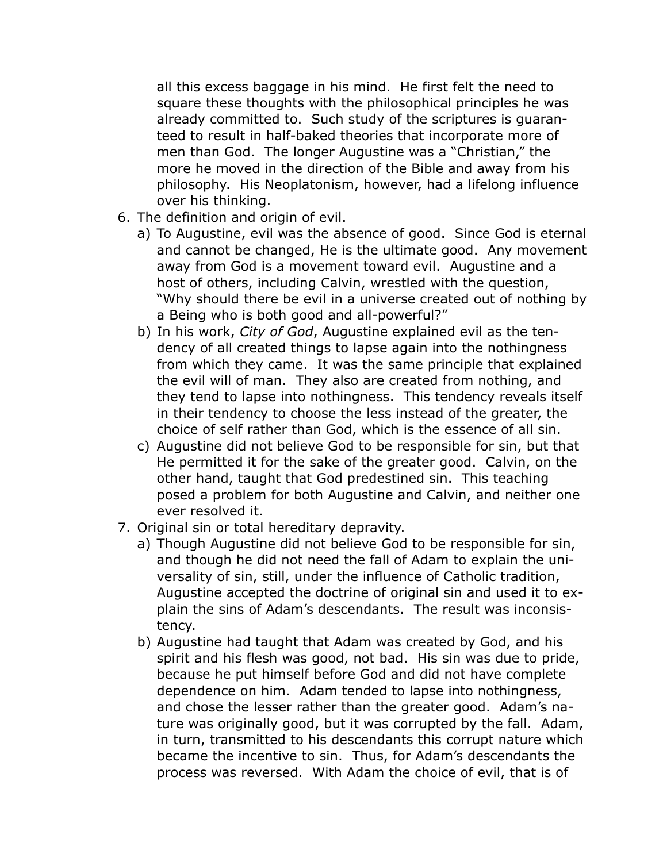all this excess baggage in his mind. He first felt the need to square these thoughts with the philosophical principles he was already committed to. Such study of the scriptures is guaranteed to result in half-baked theories that incorporate more of men than God. The longer Augustine was a "Christian," the more he moved in the direction of the Bible and away from his philosophy. His Neoplatonism, however, had a lifelong influence over his thinking.

- 6. The definition and origin of evil.
	- a) To Augustine, evil was the absence of good. Since God is eternal and cannot be changed, He is the ultimate good. Any movement away from God is a movement toward evil. Augustine and a host of others, including Calvin, wrestled with the question, "Why should there be evil in a universe created out of nothing by a Being who is both good and all-powerful?"
	- b) In his work, *City of God*, Augustine explained evil as the tendency of all created things to lapse again into the nothingness from which they came. It was the same principle that explained the evil will of man. They also are created from nothing, and they tend to lapse into nothingness. This tendency reveals itself in their tendency to choose the less instead of the greater, the choice of self rather than God, which is the essence of all sin.
	- c) Augustine did not believe God to be responsible for sin, but that He permitted it for the sake of the greater good. Calvin, on the other hand, taught that God predestined sin. This teaching posed a problem for both Augustine and Calvin, and neither one ever resolved it.
- 7. Original sin or total hereditary depravity.
	- a) Though Augustine did not believe God to be responsible for sin, and though he did not need the fall of Adam to explain the universality of sin, still, under the influence of Catholic tradition, Augustine accepted the doctrine of original sin and used it to explain the sins of Adam's descendants. The result was inconsistency.
	- b) Augustine had taught that Adam was created by God, and his spirit and his flesh was good, not bad. His sin was due to pride, because he put himself before God and did not have complete dependence on him. Adam tended to lapse into nothingness, and chose the lesser rather than the greater good. Adam's nature was originally good, but it was corrupted by the fall. Adam, in turn, transmitted to his descendants this corrupt nature which became the incentive to sin. Thus, for Adam's descendants the process was reversed. With Adam the choice of evil, that is of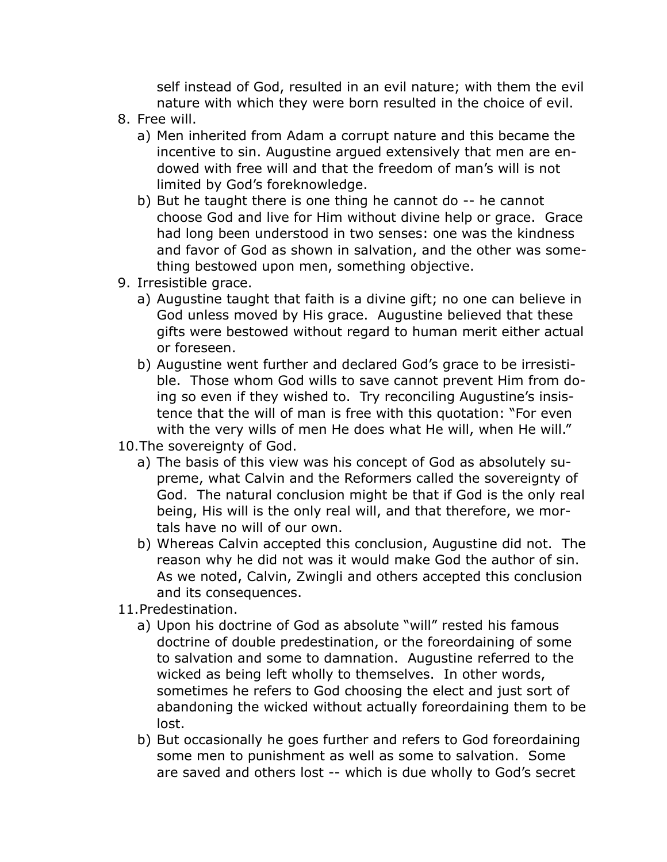self instead of God, resulted in an evil nature; with them the evil nature with which they were born resulted in the choice of evil.

- 8. Free will.
	- a) Men inherited from Adam a corrupt nature and this became the incentive to sin. Augustine argued extensively that men are endowed with free will and that the freedom of man's will is not limited by God's foreknowledge.
	- b) But he taught there is one thing he cannot do -- he cannot choose God and live for Him without divine help or grace. Grace had long been understood in two senses: one was the kindness and favor of God as shown in salvation, and the other was something bestowed upon men, something objective.
- 9. Irresistible grace.
	- a) Augustine taught that faith is a divine gift; no one can believe in God unless moved by His grace. Augustine believed that these gifts were bestowed without regard to human merit either actual or foreseen.
	- b) Augustine went further and declared God's grace to be irresistible. Those whom God wills to save cannot prevent Him from doing so even if they wished to. Try reconciling Augustine's insistence that the will of man is free with this quotation: "For even with the very wills of men He does what He will, when He will."
- 10.The sovereignty of God.
	- a) The basis of this view was his concept of God as absolutely supreme, what Calvin and the Reformers called the sovereignty of God. The natural conclusion might be that if God is the only real being, His will is the only real will, and that therefore, we mortals have no will of our own.
	- b) Whereas Calvin accepted this conclusion, Augustine did not. The reason why he did not was it would make God the author of sin. As we noted, Calvin, Zwingli and others accepted this conclusion and its consequences.
- 11.Predestination.
	- a) Upon his doctrine of God as absolute "will" rested his famous doctrine of double predestination, or the foreordaining of some to salvation and some to damnation. Augustine referred to the wicked as being left wholly to themselves. In other words, sometimes he refers to God choosing the elect and just sort of abandoning the wicked without actually foreordaining them to be lost.
	- b) But occasionally he goes further and refers to God foreordaining some men to punishment as well as some to salvation. Some are saved and others lost -- which is due wholly to God's secret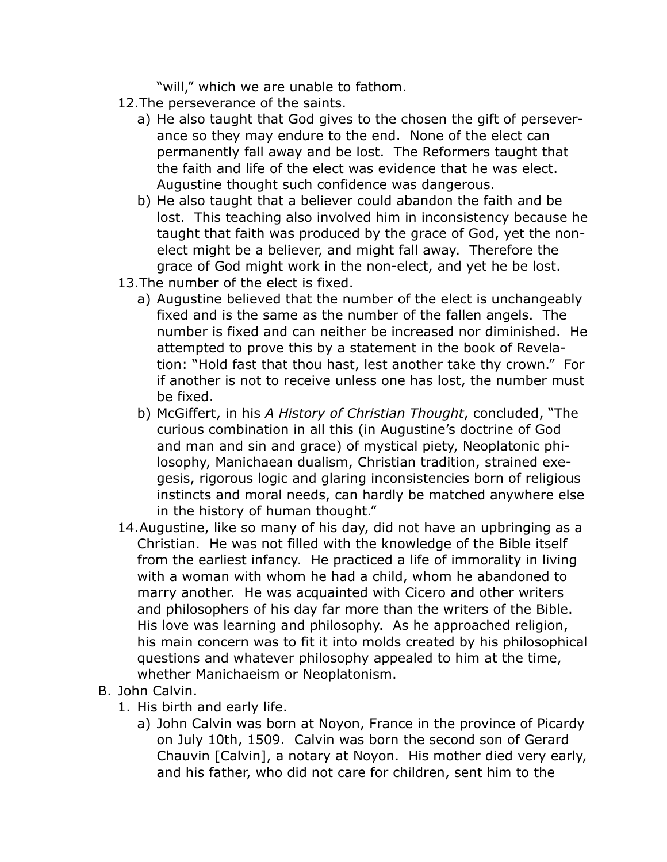"will," which we are unable to fathom.

- 12.The perseverance of the saints.
	- a) He also taught that God gives to the chosen the gift of perseverance so they may endure to the end. None of the elect can permanently fall away and be lost. The Reformers taught that the faith and life of the elect was evidence that he was elect. Augustine thought such confidence was dangerous.
	- b) He also taught that a believer could abandon the faith and be lost. This teaching also involved him in inconsistency because he taught that faith was produced by the grace of God, yet the nonelect might be a believer, and might fall away. Therefore the grace of God might work in the non-elect, and yet he be lost.
- 13.The number of the elect is fixed.
	- a) Augustine believed that the number of the elect is unchangeably fixed and is the same as the number of the fallen angels. The number is fixed and can neither be increased nor diminished. He attempted to prove this by a statement in the book of Revelation: "Hold fast that thou hast, lest another take thy crown." For if another is not to receive unless one has lost, the number must be fixed.
	- b) McGiffert, in his *A History of Christian Thought*, concluded, "The curious combination in all this (in Augustine's doctrine of God and man and sin and grace) of mystical piety, Neoplatonic philosophy, Manichaean dualism, Christian tradition, strained exegesis, rigorous logic and glaring inconsistencies born of religious instincts and moral needs, can hardly be matched anywhere else in the history of human thought."
- 14.Augustine, like so many of his day, did not have an upbringing as a Christian. He was not filled with the knowledge of the Bible itself from the earliest infancy. He practiced a life of immorality in living with a woman with whom he had a child, whom he abandoned to marry another. He was acquainted with Cicero and other writers and philosophers of his day far more than the writers of the Bible. His love was learning and philosophy. As he approached religion, his main concern was to fit it into molds created by his philosophical questions and whatever philosophy appealed to him at the time, whether Manichaeism or Neoplatonism.
- B. John Calvin.
	- 1. His birth and early life.
		- a) John Calvin was born at Noyon, France in the province of Picardy on July 10th, 1509. Calvin was born the second son of Gerard Chauvin [Calvin], a notary at Noyon. His mother died very early, and his father, who did not care for children, sent him to the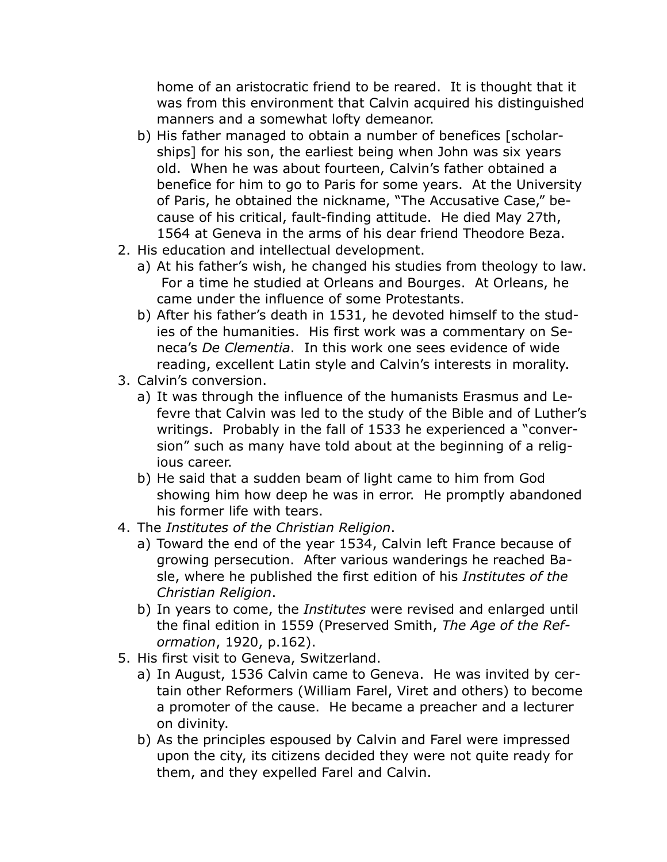home of an aristocratic friend to be reared. It is thought that it was from this environment that Calvin acquired his distinguished manners and a somewhat lofty demeanor.

- b) His father managed to obtain a number of benefices [scholarships] for his son, the earliest being when John was six years old. When he was about fourteen, Calvin's father obtained a benefice for him to go to Paris for some years. At the University of Paris, he obtained the nickname, "The Accusative Case," because of his critical, fault-finding attitude. He died May 27th, 1564 at Geneva in the arms of his dear friend Theodore Beza.
- 2. His education and intellectual development.
	- a) At his father's wish, he changed his studies from theology to law. For a time he studied at Orleans and Bourges. At Orleans, he came under the influence of some Protestants.
	- b) After his father's death in 1531, he devoted himself to the studies of the humanities. His first work was a commentary on Seneca's *De Clementia*. In this work one sees evidence of wide reading, excellent Latin style and Calvin's interests in morality.
- 3. Calvin's conversion.
	- a) It was through the influence of the humanists Erasmus and Lefevre that Calvin was led to the study of the Bible and of Luther's writings. Probably in the fall of 1533 he experienced a "conversion" such as many have told about at the beginning of a religious career.
	- b) He said that a sudden beam of light came to him from God showing him how deep he was in error. He promptly abandoned his former life with tears.
- 4. The *Institutes of the Christian Religion*.
	- a) Toward the end of the year 1534, Calvin left France because of growing persecution. After various wanderings he reached Basle, where he published the first edition of his *Institutes of the Christian Religion*.
	- b) In years to come, the *Institutes* were revised and enlarged until the final edition in 1559 (Preserved Smith, *The Age of the Reformation*, 1920, p.162).
- 5. His first visit to Geneva, Switzerland.
	- a) In August, 1536 Calvin came to Geneva. He was invited by certain other Reformers (William Farel, Viret and others) to become a promoter of the cause. He became a preacher and a lecturer on divinity.
	- b) As the principles espoused by Calvin and Farel were impressed upon the city, its citizens decided they were not quite ready for them, and they expelled Farel and Calvin.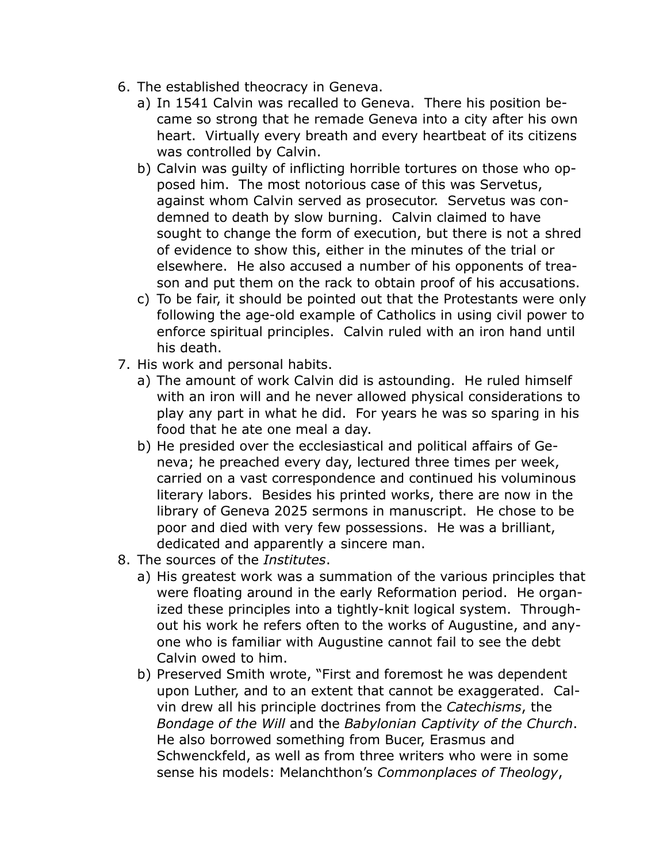- 6. The established theocracy in Geneva.
	- a) In 1541 Calvin was recalled to Geneva. There his position became so strong that he remade Geneva into a city after his own heart. Virtually every breath and every heartbeat of its citizens was controlled by Calvin.
	- b) Calvin was guilty of inflicting horrible tortures on those who opposed him. The most notorious case of this was Servetus, against whom Calvin served as prosecutor. Servetus was condemned to death by slow burning. Calvin claimed to have sought to change the form of execution, but there is not a shred of evidence to show this, either in the minutes of the trial or elsewhere. He also accused a number of his opponents of treason and put them on the rack to obtain proof of his accusations.
	- c) To be fair, it should be pointed out that the Protestants were only following the age-old example of Catholics in using civil power to enforce spiritual principles. Calvin ruled with an iron hand until his death.
- 7. His work and personal habits.
	- a) The amount of work Calvin did is astounding. He ruled himself with an iron will and he never allowed physical considerations to play any part in what he did. For years he was so sparing in his food that he ate one meal a day.
	- b) He presided over the ecclesiastical and political affairs of Geneva; he preached every day, lectured three times per week, carried on a vast correspondence and continued his voluminous literary labors. Besides his printed works, there are now in the library of Geneva 2025 sermons in manuscript. He chose to be poor and died with very few possessions. He was a brilliant, dedicated and apparently a sincere man.
- 8. The sources of the *Institutes*.
	- a) His greatest work was a summation of the various principles that were floating around in the early Reformation period. He organized these principles into a tightly-knit logical system. Throughout his work he refers often to the works of Augustine, and anyone who is familiar with Augustine cannot fail to see the debt Calvin owed to him.
	- b) Preserved Smith wrote, "First and foremost he was dependent upon Luther, and to an extent that cannot be exaggerated. Calvin drew all his principle doctrines from the *Catechisms*, the *Bondage of the Will* and the *Babylonian Captivity of the Church*. He also borrowed something from Bucer, Erasmus and Schwenckfeld, as well as from three writers who were in some sense his models: Melanchthon's *Commonplaces of Theology*,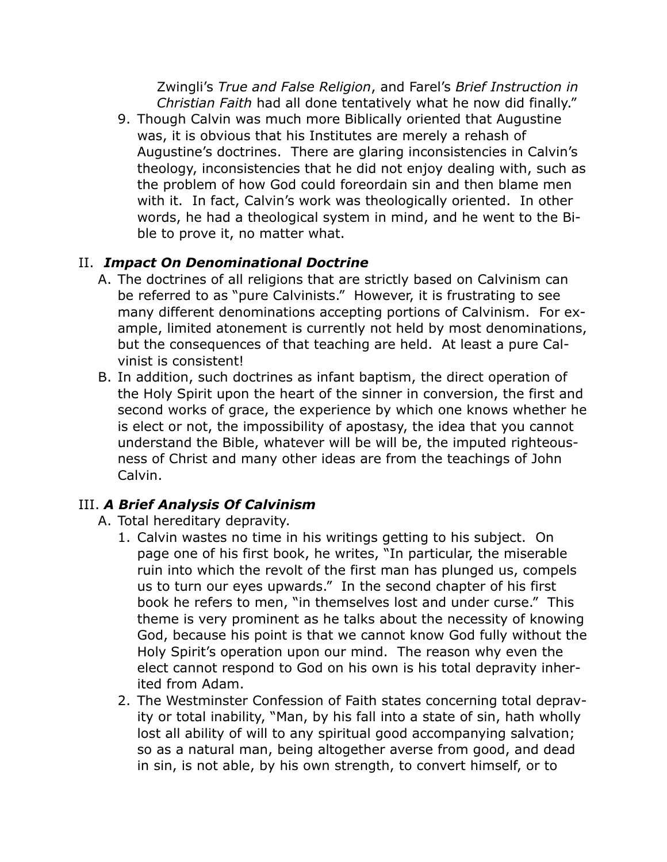Zwingli's *True and False Religion*, and Farel's *Brief Instruction in Christian Faith* had all done tentatively what he now did finally."

9. Though Calvin was much more Biblically oriented that Augustine was, it is obvious that his Institutes are merely a rehash of Augustine's doctrines. There are glaring inconsistencies in Calvin's theology, inconsistencies that he did not enjoy dealing with, such as the problem of how God could foreordain sin and then blame men with it. In fact, Calvin's work was theologically oriented. In other words, he had a theological system in mind, and he went to the Bible to prove it, no matter what.

## II. *Impact On Denominational Doctrine*

- A. The doctrines of all religions that are strictly based on Calvinism can be referred to as "pure Calvinists." However, it is frustrating to see many different denominations accepting portions of Calvinism. For example, limited atonement is currently not held by most denominations, but the consequences of that teaching are held. At least a pure Calvinist is consistent!
- B. In addition, such doctrines as infant baptism, the direct operation of the Holy Spirit upon the heart of the sinner in conversion, the first and second works of grace, the experience by which one knows whether he is elect or not, the impossibility of apostasy, the idea that you cannot understand the Bible, whatever will be will be, the imputed righteousness of Christ and many other ideas are from the teachings of John Calvin.

## III. *A Brief Analysis Of Calvinism*

- A. Total hereditary depravity.
	- 1. Calvin wastes no time in his writings getting to his subject. On page one of his first book, he writes, "In particular, the miserable ruin into which the revolt of the first man has plunged us, compels us to turn our eyes upwards." In the second chapter of his first book he refers to men, "in themselves lost and under curse." This theme is very prominent as he talks about the necessity of knowing God, because his point is that we cannot know God fully without the Holy Spirit's operation upon our mind. The reason why even the elect cannot respond to God on his own is his total depravity inherited from Adam.
	- 2. The Westminster Confession of Faith states concerning total depravity or total inability, "Man, by his fall into a state of sin, hath wholly lost all ability of will to any spiritual good accompanying salvation; so as a natural man, being altogether averse from good, and dead in sin, is not able, by his own strength, to convert himself, or to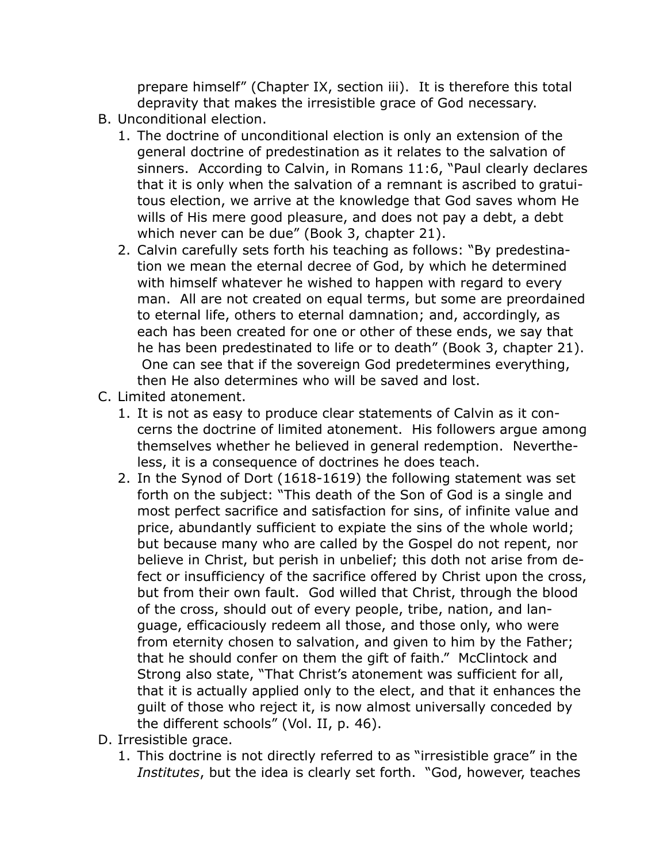prepare himself" (Chapter IX, section iii). It is therefore this total depravity that makes the irresistible grace of God necessary.

- B. Unconditional election.
	- 1. The doctrine of unconditional election is only an extension of the general doctrine of predestination as it relates to the salvation of sinners. According to Calvin, in Romans 11:6, "Paul clearly declares that it is only when the salvation of a remnant is ascribed to gratuitous election, we arrive at the knowledge that God saves whom He wills of His mere good pleasure, and does not pay a debt, a debt which never can be due" (Book 3, chapter 21).
	- 2. Calvin carefully sets forth his teaching as follows: "By predestination we mean the eternal decree of God, by which he determined with himself whatever he wished to happen with regard to every man. All are not created on equal terms, but some are preordained to eternal life, others to eternal damnation; and, accordingly, as each has been created for one or other of these ends, we say that he has been predestinated to life or to death" (Book 3, chapter 21). One can see that if the sovereign God predetermines everything, then He also determines who will be saved and lost.
- C. Limited atonement.
	- 1. It is not as easy to produce clear statements of Calvin as it concerns the doctrine of limited atonement. His followers argue among themselves whether he believed in general redemption. Nevertheless, it is a consequence of doctrines he does teach.
	- 2. In the Synod of Dort (1618-1619) the following statement was set forth on the subject: "This death of the Son of God is a single and most perfect sacrifice and satisfaction for sins, of infinite value and price, abundantly sufficient to expiate the sins of the whole world; but because many who are called by the Gospel do not repent, nor believe in Christ, but perish in unbelief; this doth not arise from defect or insufficiency of the sacrifice offered by Christ upon the cross, but from their own fault. God willed that Christ, through the blood of the cross, should out of every people, tribe, nation, and language, efficaciously redeem all those, and those only, who were from eternity chosen to salvation, and given to him by the Father; that he should confer on them the gift of faith." McClintock and Strong also state, "That Christ's atonement was sufficient for all, that it is actually applied only to the elect, and that it enhances the guilt of those who reject it, is now almost universally conceded by the different schools" (Vol. II, p. 46).
- D. Irresistible grace.
	- 1. This doctrine is not directly referred to as "irresistible grace" in the *Institutes*, but the idea is clearly set forth. "God, however, teaches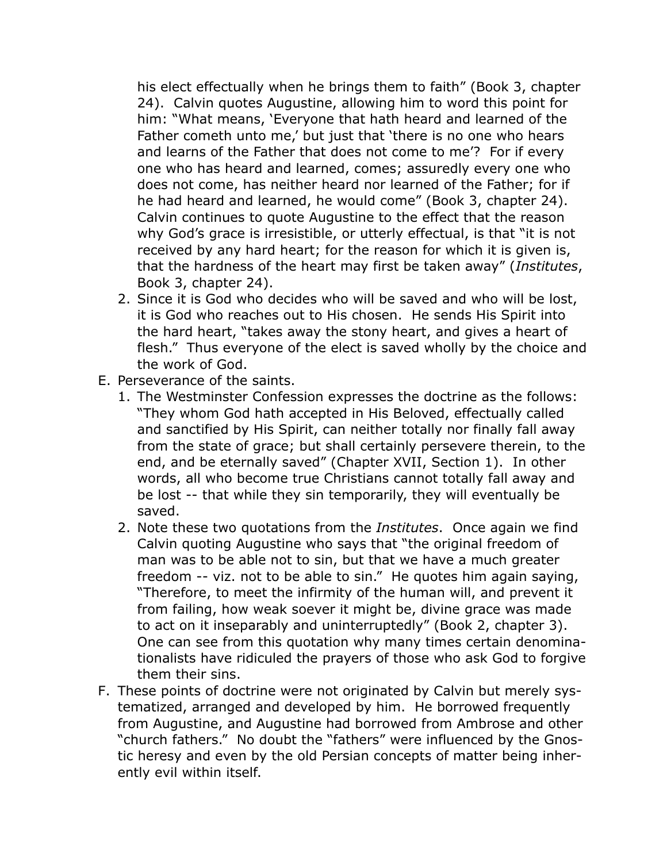his elect effectually when he brings them to faith" (Book 3, chapter 24). Calvin quotes Augustine, allowing him to word this point for him: "What means, 'Everyone that hath heard and learned of the Father cometh unto me,' but just that 'there is no one who hears and learns of the Father that does not come to me'? For if every one who has heard and learned, comes; assuredly every one who does not come, has neither heard nor learned of the Father; for if he had heard and learned, he would come" (Book 3, chapter 24). Calvin continues to quote Augustine to the effect that the reason why God's grace is irresistible, or utterly effectual, is that "it is not received by any hard heart; for the reason for which it is given is, that the hardness of the heart may first be taken away" (*Institutes*, Book 3, chapter 24).

- 2. Since it is God who decides who will be saved and who will be lost, it is God who reaches out to His chosen. He sends His Spirit into the hard heart, "takes away the stony heart, and gives a heart of flesh." Thus everyone of the elect is saved wholly by the choice and the work of God.
- E. Perseverance of the saints.
	- 1. The Westminster Confession expresses the doctrine as the follows: "They whom God hath accepted in His Beloved, effectually called and sanctified by His Spirit, can neither totally nor finally fall away from the state of grace; but shall certainly persevere therein, to the end, and be eternally saved" (Chapter XVII, Section 1). In other words, all who become true Christians cannot totally fall away and be lost -- that while they sin temporarily, they will eventually be saved.
	- 2. Note these two quotations from the *Institutes*. Once again we find Calvin quoting Augustine who says that "the original freedom of man was to be able not to sin, but that we have a much greater freedom -- viz. not to be able to sin." He quotes him again saying, "Therefore, to meet the infirmity of the human will, and prevent it from failing, how weak soever it might be, divine grace was made to act on it inseparably and uninterruptedly" (Book 2, chapter 3). One can see from this quotation why many times certain denominationalists have ridiculed the prayers of those who ask God to forgive them their sins.
- F. These points of doctrine were not originated by Calvin but merely systematized, arranged and developed by him. He borrowed frequently from Augustine, and Augustine had borrowed from Ambrose and other "church fathers." No doubt the "fathers" were influenced by the Gnostic heresy and even by the old Persian concepts of matter being inherently evil within itself.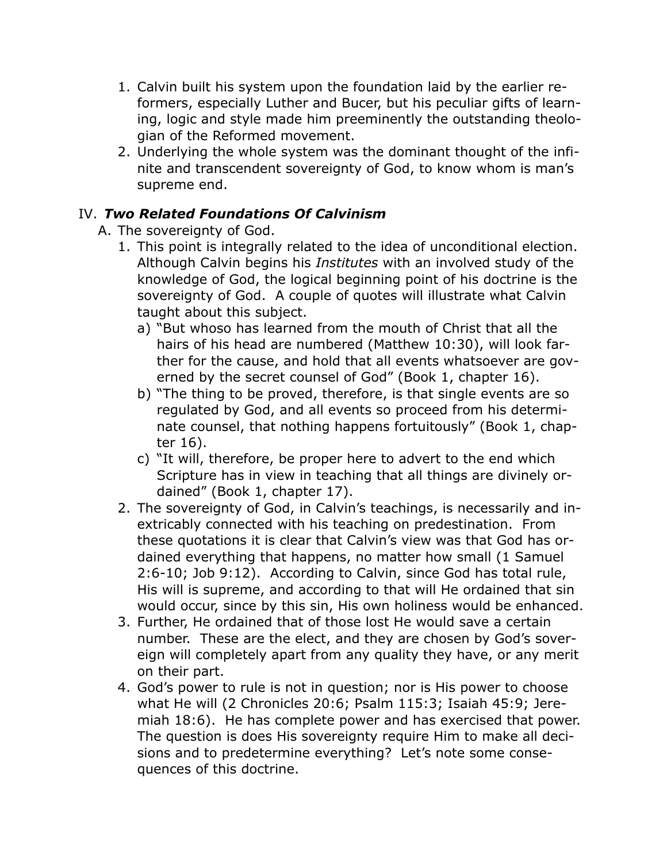- 1. Calvin built his system upon the foundation laid by the earlier reformers, especially Luther and Bucer, but his peculiar gifts of learning, logic and style made him preeminently the outstanding theologian of the Reformed movement.
- 2. Underlying the whole system was the dominant thought of the infinite and transcendent sovereignty of God, to know whom is man's supreme end.

#### IV. *Two Related Foundations Of Calvinism*

- A. The sovereignty of God.
	- 1. This point is integrally related to the idea of unconditional election. Although Calvin begins his *Institutes* with an involved study of the knowledge of God, the logical beginning point of his doctrine is the sovereignty of God. A couple of quotes will illustrate what Calvin taught about this subject.
		- a) "But whoso has learned from the mouth of Christ that all the hairs of his head are numbered (Matthew 10:30), will look farther for the cause, and hold that all events whatsoever are governed by the secret counsel of God" (Book 1, chapter 16).
		- b) "The thing to be proved, therefore, is that single events are so regulated by God, and all events so proceed from his determinate counsel, that nothing happens fortuitously" (Book 1, chapter 16).
		- c) "It will, therefore, be proper here to advert to the end which Scripture has in view in teaching that all things are divinely ordained" (Book 1, chapter 17).
	- 2. The sovereignty of God, in Calvin's teachings, is necessarily and inextricably connected with his teaching on predestination. From these quotations it is clear that Calvin's view was that God has ordained everything that happens, no matter how small (1 Samuel 2:6-10; Job 9:12). According to Calvin, since God has total rule, His will is supreme, and according to that will He ordained that sin would occur, since by this sin, His own holiness would be enhanced.
	- 3. Further, He ordained that of those lost He would save a certain number. These are the elect, and they are chosen by God's sovereign will completely apart from any quality they have, or any merit on their part.
	- 4. God's power to rule is not in question; nor is His power to choose what He will (2 Chronicles 20:6; Psalm 115:3; Isaiah 45:9; Jeremiah 18:6). He has complete power and has exercised that power. The question is does His sovereignty require Him to make all decisions and to predetermine everything? Let's note some consequences of this doctrine.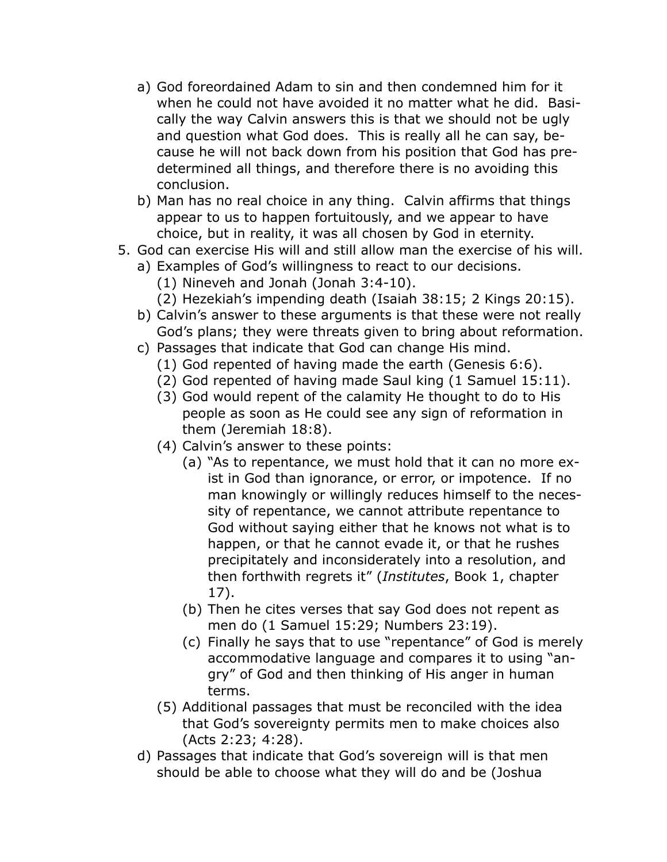- a) God foreordained Adam to sin and then condemned him for it when he could not have avoided it no matter what he did. Basically the way Calvin answers this is that we should not be ugly and question what God does. This is really all he can say, because he will not back down from his position that God has predetermined all things, and therefore there is no avoiding this conclusion.
- b) Man has no real choice in any thing. Calvin affirms that things appear to us to happen fortuitously, and we appear to have choice, but in reality, it was all chosen by God in eternity.
- 5. God can exercise His will and still allow man the exercise of his will.
	- a) Examples of God's willingness to react to our decisions.
		- (1) Nineveh and Jonah (Jonah 3:4-10).
		- (2) Hezekiah's impending death (Isaiah 38:15; 2 Kings 20:15).
	- b) Calvin's answer to these arguments is that these were not really God's plans; they were threats given to bring about reformation.
	- c) Passages that indicate that God can change His mind.
		- (1) God repented of having made the earth (Genesis 6:6).
		- (2) God repented of having made Saul king (1 Samuel 15:11).
		- (3) God would repent of the calamity He thought to do to His people as soon as He could see any sign of reformation in them (Jeremiah 18:8).
		- (4) Calvin's answer to these points:
			- (a) "As to repentance, we must hold that it can no more exist in God than ignorance, or error, or impotence. If no man knowingly or willingly reduces himself to the necessity of repentance, we cannot attribute repentance to God without saying either that he knows not what is to happen, or that he cannot evade it, or that he rushes precipitately and inconsiderately into a resolution, and then forthwith regrets it" (*Institutes*, Book 1, chapter 17).
			- (b) Then he cites verses that say God does not repent as men do (1 Samuel 15:29; Numbers 23:19).
			- (c) Finally he says that to use "repentance" of God is merely accommodative language and compares it to using "angry" of God and then thinking of His anger in human terms.
		- (5) Additional passages that must be reconciled with the idea that God's sovereignty permits men to make choices also (Acts 2:23; 4:28).
	- d) Passages that indicate that God's sovereign will is that men should be able to choose what they will do and be (Joshua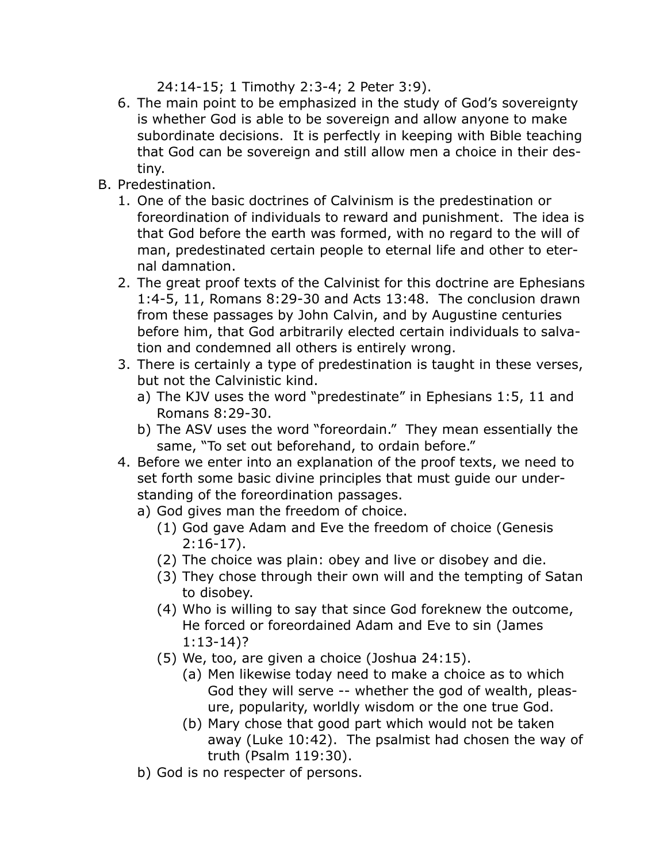24:14-15; 1 Timothy 2:3-4; 2 Peter 3:9).

- 6. The main point to be emphasized in the study of God's sovereignty is whether God is able to be sovereign and allow anyone to make subordinate decisions. It is perfectly in keeping with Bible teaching that God can be sovereign and still allow men a choice in their destiny.
- B. Predestination.
	- 1. One of the basic doctrines of Calvinism is the predestination or foreordination of individuals to reward and punishment. The idea is that God before the earth was formed, with no regard to the will of man, predestinated certain people to eternal life and other to eternal damnation.
	- 2. The great proof texts of the Calvinist for this doctrine are Ephesians 1:4-5, 11, Romans 8:29-30 and Acts 13:48. The conclusion drawn from these passages by John Calvin, and by Augustine centuries before him, that God arbitrarily elected certain individuals to salvation and condemned all others is entirely wrong.
	- 3. There is certainly a type of predestination is taught in these verses, but not the Calvinistic kind.
		- a) The KJV uses the word "predestinate" in Ephesians 1:5, 11 and Romans 8:29-30.
		- b) The ASV uses the word "foreordain." They mean essentially the same, "To set out beforehand, to ordain before."
	- 4. Before we enter into an explanation of the proof texts, we need to set forth some basic divine principles that must guide our understanding of the foreordination passages.
		- a) God gives man the freedom of choice.
			- (1) God gave Adam and Eve the freedom of choice (Genesis 2:16-17).
			- (2) The choice was plain: obey and live or disobey and die.
			- (3) They chose through their own will and the tempting of Satan to disobey.
			- (4) Who is willing to say that since God foreknew the outcome, He forced or foreordained Adam and Eve to sin (James 1:13-14)?
			- (5) We, too, are given a choice (Joshua 24:15).
				- (a) Men likewise today need to make a choice as to which God they will serve -- whether the god of wealth, pleasure, popularity, worldly wisdom or the one true God.
				- (b) Mary chose that good part which would not be taken away (Luke 10:42). The psalmist had chosen the way of truth (Psalm 119:30).
		- b) God is no respecter of persons.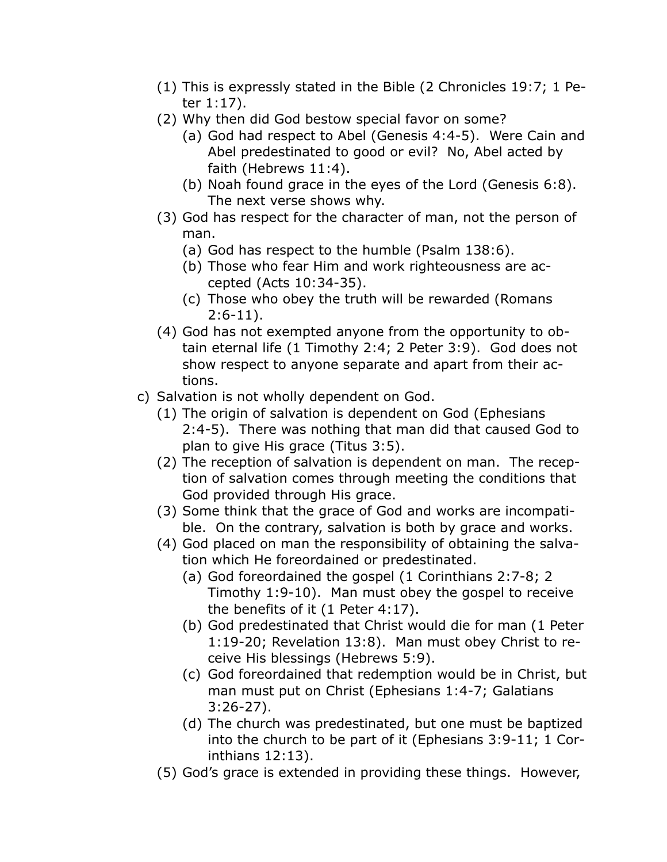- (1) This is expressly stated in the Bible (2 Chronicles 19:7; 1 Peter 1:17).
- (2) Why then did God bestow special favor on some?
	- (a) God had respect to Abel (Genesis 4:4-5). Were Cain and Abel predestinated to good or evil? No, Abel acted by faith (Hebrews 11:4).
	- (b) Noah found grace in the eyes of the Lord (Genesis 6:8). The next verse shows why.
- (3) God has respect for the character of man, not the person of man.
	- (a) God has respect to the humble (Psalm 138:6).
	- (b) Those who fear Him and work righteousness are accepted (Acts 10:34-35).
	- (c) Those who obey the truth will be rewarded (Romans 2:6-11).
- (4) God has not exempted anyone from the opportunity to obtain eternal life (1 Timothy 2:4; 2 Peter 3:9). God does not show respect to anyone separate and apart from their actions.
- c) Salvation is not wholly dependent on God.
	- (1) The origin of salvation is dependent on God (Ephesians 2:4-5). There was nothing that man did that caused God to plan to give His grace (Titus 3:5).
	- (2) The reception of salvation is dependent on man. The reception of salvation comes through meeting the conditions that God provided through His grace.
	- (3) Some think that the grace of God and works are incompatible. On the contrary, salvation is both by grace and works.
	- (4) God placed on man the responsibility of obtaining the salvation which He foreordained or predestinated.
		- (a) God foreordained the gospel (1 Corinthians 2:7-8; 2 Timothy 1:9-10). Man must obey the gospel to receive the benefits of it (1 Peter 4:17).
		- (b) God predestinated that Christ would die for man (1 Peter 1:19-20; Revelation 13:8). Man must obey Christ to receive His blessings (Hebrews 5:9).
		- (c) God foreordained that redemption would be in Christ, but man must put on Christ (Ephesians 1:4-7; Galatians 3:26-27).
		- (d) The church was predestinated, but one must be baptized into the church to be part of it (Ephesians 3:9-11; 1 Corinthians 12:13).
	- (5) God's grace is extended in providing these things. However,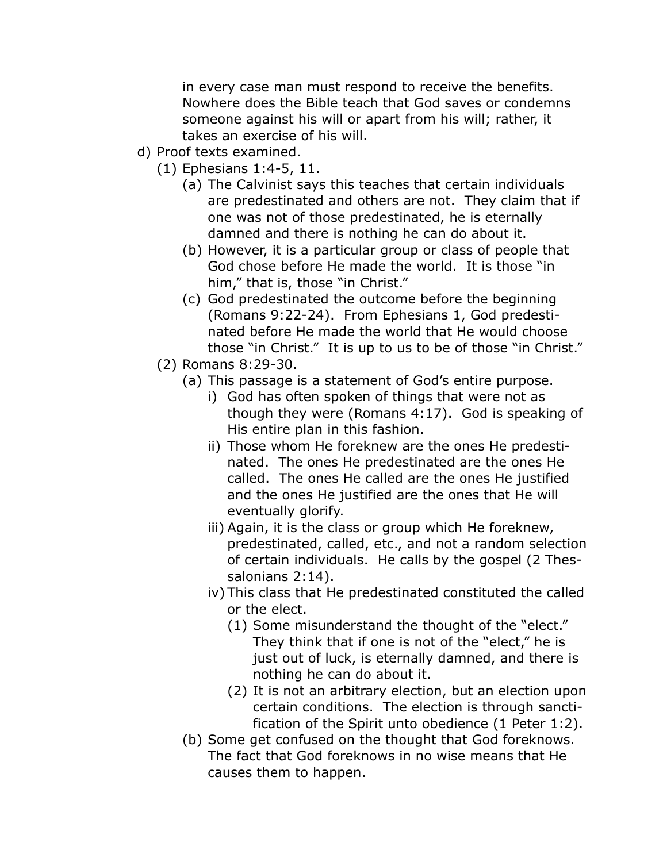in every case man must respond to receive the benefits. Nowhere does the Bible teach that God saves or condemns someone against his will or apart from his will; rather, it takes an exercise of his will.

- d) Proof texts examined.
	- (1) Ephesians 1:4-5, 11.
		- (a) The Calvinist says this teaches that certain individuals are predestinated and others are not. They claim that if one was not of those predestinated, he is eternally damned and there is nothing he can do about it.
		- (b) However, it is a particular group or class of people that God chose before He made the world. It is those "in him," that is, those "in Christ."
		- (c) God predestinated the outcome before the beginning (Romans 9:22-24). From Ephesians 1, God predestinated before He made the world that He would choose those "in Christ." It is up to us to be of those "in Christ."
	- (2) Romans 8:29-30.
		- (a) This passage is a statement of God's entire purpose.
			- i) God has often spoken of things that were not as though they were (Romans 4:17). God is speaking of His entire plan in this fashion.
			- ii) Those whom He foreknew are the ones He predestinated. The ones He predestinated are the ones He called. The ones He called are the ones He justified and the ones He justified are the ones that He will eventually glorify.
			- iii) Again, it is the class or group which He foreknew, predestinated, called, etc., and not a random selection of certain individuals. He calls by the gospel (2 Thessalonians 2:14).
			- iv) This class that He predestinated constituted the called or the elect.
				- (1) Some misunderstand the thought of the "elect." They think that if one is not of the "elect," he is just out of luck, is eternally damned, and there is nothing he can do about it.
				- (2) It is not an arbitrary election, but an election upon certain conditions. The election is through sanctification of the Spirit unto obedience (1 Peter 1:2).
		- (b) Some get confused on the thought that God foreknows. The fact that God foreknows in no wise means that He causes them to happen.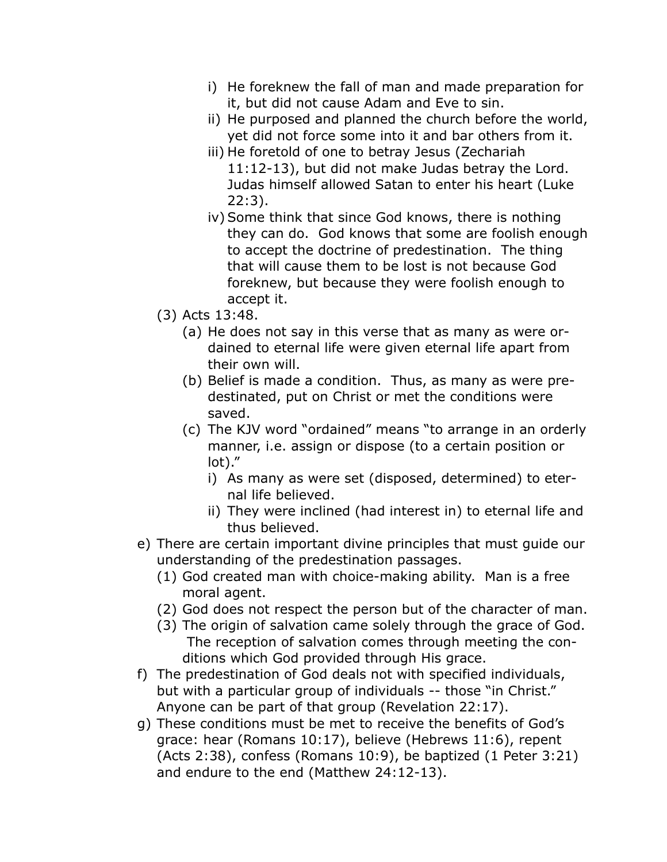- i) He foreknew the fall of man and made preparation for it, but did not cause Adam and Eve to sin.
- ii) He purposed and planned the church before the world, yet did not force some into it and bar others from it.
- iii) He foretold of one to betray Jesus (Zechariah 11:12-13), but did not make Judas betray the Lord. Judas himself allowed Satan to enter his heart (Luke 22:3).
- iv) Some think that since God knows, there is nothing they can do. God knows that some are foolish enough to accept the doctrine of predestination. The thing that will cause them to be lost is not because God foreknew, but because they were foolish enough to accept it.
- (3) Acts 13:48.
	- (a) He does not say in this verse that as many as were ordained to eternal life were given eternal life apart from their own will.
	- (b) Belief is made a condition. Thus, as many as were predestinated, put on Christ or met the conditions were saved.
	- (c) The KJV word "ordained" means "to arrange in an orderly manner, i.e. assign or dispose (to a certain position or lot)."
		- i) As many as were set (disposed, determined) to eternal life believed.
		- ii) They were inclined (had interest in) to eternal life and thus believed.
- e) There are certain important divine principles that must guide our understanding of the predestination passages.
	- (1) God created man with choice-making ability. Man is a free moral agent.
	- (2) God does not respect the person but of the character of man.
	- (3) The origin of salvation came solely through the grace of God. The reception of salvation comes through meeting the conditions which God provided through His grace.
- f) The predestination of God deals not with specified individuals, but with a particular group of individuals -- those "in Christ." Anyone can be part of that group (Revelation 22:17).
- g) These conditions must be met to receive the benefits of God's grace: hear (Romans 10:17), believe (Hebrews 11:6), repent (Acts 2:38), confess (Romans 10:9), be baptized (1 Peter 3:21) and endure to the end (Matthew 24:12-13).